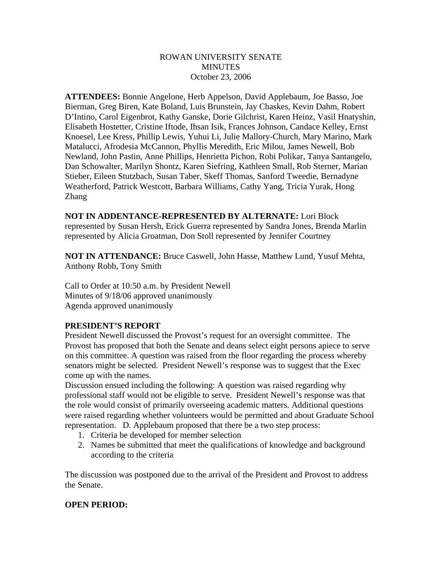## ROWAN UNIVERSITY SENATE **MINUTES** October 23, 2006

**ATTENDEES:** Bonnie Angelone, Herb Appelson, David Applebaum, Joe Basso, Joe Bierman, Greg Biren, Kate Boland, Luis Brunstein, Jay Chaskes, Kevin Dahm, Robert D'Intino, Carol Eigenbrot, Kathy Ganske, Dorie Gilchrist, Karen Heinz, Vasil Hnatyshin, Elisabeth Hostetter, Cristine Iftode, Ihsan Isik, Frances Johnson, Candace Kelley, Ernst Knoesel, Lee Kress, Phillip Lewis, Yuhui Li, Julie Mallory-Church, Mary Marino, Mark Matalucci, Afrodesia McCannon, Phyllis Meredith, Eric Milou, James Newell, Bob Newland, John Pastin, Anne Phillips, Henrietta Pichon, Robi Polikar, Tanya Santangelo, Dan Schowalter, Marilyn Shontz, Karen Siefring, Kathleen Small, Rob Sterner, Marian Stieber, Eileen Stutzbach, Susan Taber, Skeff Thomas, Sanford Tweedie, Bernadyne Weatherford, Patrick Westcott, Barbara Williams, Cathy Yang, Tricia Yurak, Hong Zhang

**NOT IN ADDENTANCE-REPRESENTED BY ALTERNATE:** Lori Block represented by Susan Hersh, Erick Guerra represented by Sandra Jones, Brenda Marlin represented by Alicia Groatman, Don Stoll represented by Jennifer Courtney

**NOT IN ATTENDANCE:** Bruce Caswell, John Hasse, Matthew Lund, Yusuf Mehta, Anthony Robb, Tony Smith

Call to Order at 10:50 a.m. by President Newell Minutes of 9/18/06 approved unanimously Agenda approved unanimously

## **PRESIDENT'S REPORT**

President Newell discussed the Provost's request for an oversight committee. The Provost has proposed that both the Senate and deans select eight persons apiece to serve on this committee. A question was raised from the floor regarding the process whereby senators might be selected. President Newell's response was to suggest that the Exec come up with the names.

Discussion ensued including the following: A question was raised regarding why professional staff would not be eligible to serve. President Newell's response was that the role would consist of primarily overseeing academic matters. Additional questions were raised regarding whether volunteers would be permitted and about Graduate School representation. D. Applebaum proposed that there be a two step process:

- 1. Criteria be developed for member selection
- 2. Names be submitted that meet the qualifications of knowledge and background according to the criteria

The discussion was postponed due to the arrival of the President and Provost to address the Senate.

## **OPEN PERIOD:**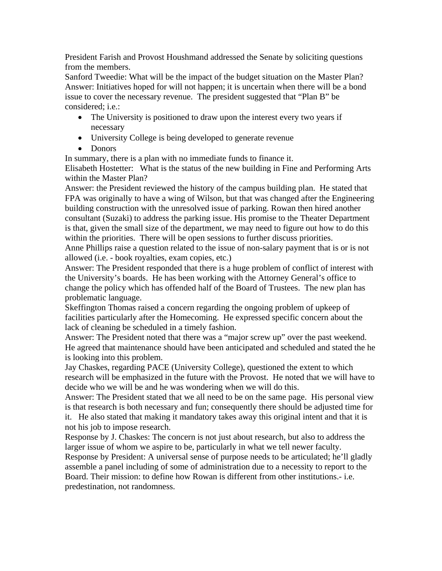President Farish and Provost Houshmand addressed the Senate by soliciting questions from the members.

Sanford Tweedie: What will be the impact of the budget situation on the Master Plan? Answer: Initiatives hoped for will not happen; it is uncertain when there will be a bond issue to cover the necessary revenue. The president suggested that "Plan B" be considered; i.e.:

- The University is positioned to draw upon the interest every two years if necessary
- University College is being developed to generate revenue
- Donors

In summary, there is a plan with no immediate funds to finance it.

Elisabeth Hostetter: What is the status of the new building in Fine and Performing Arts within the Master Plan?

Answer: the President reviewed the history of the campus building plan. He stated that FPA was originally to have a wing of Wilson, but that was changed after the Engineering building construction with the unresolved issue of parking. Rowan then hired another consultant (Suzaki) to address the parking issue. His promise to the Theater Department is that, given the small size of the department, we may need to figure out how to do this within the priorities. There will be open sessions to further discuss priorities.

Anne Phillips raise a question related to the issue of non-salary payment that is or is not allowed (i.e. - book royalties, exam copies, etc.)

Answer: The President responded that there is a huge problem of conflict of interest with the University's boards. He has been working with the Attorney General's office to change the policy which has offended half of the Board of Trustees. The new plan has problematic language.

Skeffington Thomas raised a concern regarding the ongoing problem of upkeep of facilities particularly after the Homecoming. He expressed specific concern about the lack of cleaning be scheduled in a timely fashion.

Answer: The President noted that there was a "major screw up" over the past weekend. He agreed that maintenance should have been anticipated and scheduled and stated the he is looking into this problem.

Jay Chaskes, regarding PACE (University College), questioned the extent to which research will be emphasized in the future with the Provost. He noted that we will have to decide who we will be and he was wondering when we will do this.

Answer: The President stated that we all need to be on the same page. His personal view is that research is both necessary and fun; consequently there should be adjusted time for it. He also stated that making it mandatory takes away this original intent and that it is not his job to impose research.

Response by J. Chaskes: The concern is not just about research, but also to address the larger issue of whom we aspire to be, particularly in what we tell newer faculty. Response by President: A universal sense of purpose needs to be articulated; he'll gladly assemble a panel including of some of administration due to a necessity to report to the Board. Their mission: to define how Rowan is different from other institutions.- i.e.

predestination, not randomness.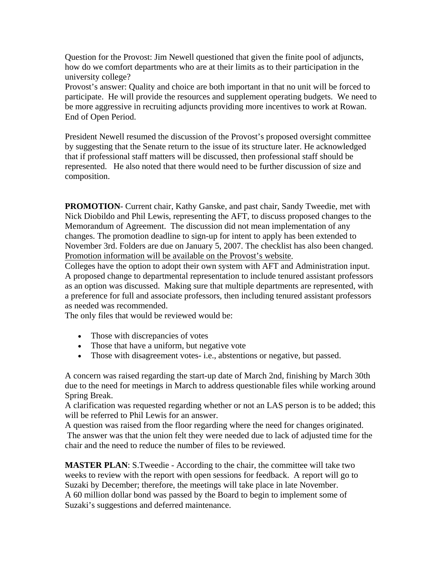Question for the Provost: Jim Newell questioned that given the finite pool of adjuncts, how do we comfort departments who are at their limits as to their participation in the university college?

Provost's answer: Quality and choice are both important in that no unit will be forced to participate. He will provide the resources and supplement operating budgets. We need to be more aggressive in recruiting adjuncts providing more incentives to work at Rowan. End of Open Period.

President Newell resumed the discussion of the Provost's proposed oversight committee by suggesting that the Senate return to the issue of its structure later. He acknowledged that if professional staff matters will be discussed, then professional staff should be represented. He also noted that there would need to be further discussion of size and composition.

**PROMOTION**- Current chair, Kathy Ganske, and past chair, Sandy Tweedie, met with Nick Diobildo and Phil Lewis, representing the AFT, to discuss proposed changes to the Memorandum of Agreement. The discussion did not mean implementation of any changes. The promotion deadline to sign-up for intent to apply has been extended to November 3rd. Folders are due on January 5, 2007. The checklist has also been changed. Promotion information will be available on the Provost's website.

Colleges have the option to adopt their own system with AFT and Administration input. A proposed change to departmental representation to include tenured assistant professors as an option was discussed. Making sure that multiple departments are represented, with a preference for full and associate professors, then including tenured assistant professors as needed was recommended.

The only files that would be reviewed would be:

- Those with discrepancies of votes
- Those that have a uniform, but negative vote
- Those with disagreement votes- i.e., abstentions or negative, but passed.

A concern was raised regarding the start-up date of March 2nd, finishing by March 30th due to the need for meetings in March to address questionable files while working around Spring Break.

A clarification was requested regarding whether or not an LAS person is to be added; this will be referred to Phil Lewis for an answer.

A question was raised from the floor regarding where the need for changes originated. The answer was that the union felt they were needed due to lack of adjusted time for the chair and the need to reduce the number of files to be reviewed.

**MASTER PLAN:** S. Tweedie - According to the chair, the committee will take two weeks to review with the report with open sessions for feedback. A report will go to Suzaki by December; therefore, the meetings will take place in late November. A 60 million dollar bond was passed by the Board to begin to implement some of Suzaki's suggestions and deferred maintenance.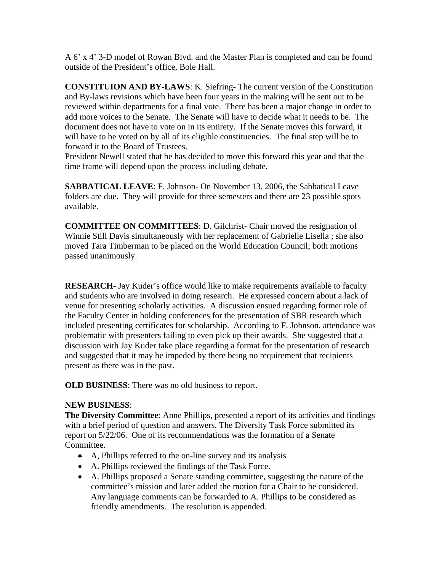A 6' x 4' 3-D model of Rowan Blvd. and the Master Plan is completed and can be found outside of the President's office, Bole Hall.

**CONSTITUION AND BY-LAWS**: K. Siefring- The current version of the Constitution and By-laws revisions which have been four years in the making will be sent out to be reviewed within departments for a final vote. There has been a major change in order to add more voices to the Senate. The Senate will have to decide what it needs to be. The document does not have to vote on in its entirety. If the Senate moves this forward, it will have to be voted on by all of its eligible constituencies. The final step will be to forward it to the Board of Trustees.

President Newell stated that he has decided to move this forward this year and that the time frame will depend upon the process including debate.

**SABBATICAL LEAVE**: F. Johnson- On November 13, 2006, the Sabbatical Leave folders are due. They will provide for three semesters and there are 23 possible spots available.

**COMMITTEE ON COMMITTEES**: D. Gilchrist- Chair moved the resignation of Winnie Still Davis simultaneously with her replacement of Gabrielle Lisella ; she also moved Tara Timberman to be placed on the World Education Council; both motions passed unanimously.

**RESEARCH**- Jay Kuder's office would like to make requirements available to faculty and students who are involved in doing research. He expressed concern about a lack of venue for presenting scholarly activities. A discussion ensued regarding former role of the Faculty Center in holding conferences for the presentation of SBR research which included presenting certificates for scholarship. According to F. Johnson, attendance was problematic with presenters failing to even pick up their awards. She suggested that a discussion with Jay Kuder take place regarding a format for the presentation of research and suggested that it may be impeded by there being no requirement that recipients present as there was in the past.

**OLD BUSINESS**: There was no old business to report.

## **NEW BUSINESS**:

**The Diversity Committee**: Anne Phillips, presented a report of its activities and findings with a brief period of question and answers. The Diversity Task Force submitted its report on 5/22/06. One of its recommendations was the formation of a Senate Committee.

- A, Phillips referred to the on-line survey and its analysis
- A. Phillips reviewed the findings of the Task Force.
- A. Phillips proposed a Senate standing committee, suggesting the nature of the committee's mission and later added the motion for a Chair to be considered. Any language comments can be forwarded to A. Phillips to be considered as friendly amendments. The resolution is appended.